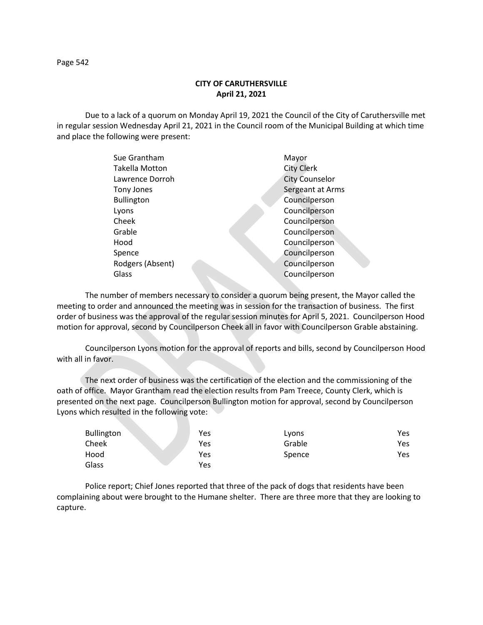**CITY OF CARUTHERSVILLE April 21, 2021**

Due to a lack of a quorum on Monday April 19, 2021 the Council of the City of Caruthersville met in regular session Wednesday April 21, 2021 in the Council room of the Municipal Building at which time and place the following were present:

| Sue Grantham          | Mayor                 |
|-----------------------|-----------------------|
| <b>Takella Motton</b> | <b>City Clerk</b>     |
| Lawrence Dorroh       | <b>City Counselor</b> |
| Tony Jones            | Sergeant at Arms      |
| <b>Bullington</b>     | Councilperson         |
| Lyons                 | Councilperson         |
| Cheek                 | Councilperson         |
| Grable                | Councilperson         |
| Hood                  | Councilperson         |
| Spence                | Councilperson         |
| Rodgers (Absent)      | Councilperson         |
| Glass                 | Councilperson         |
|                       |                       |

The number of members necessary to consider a quorum being present, the Mayor called the meeting to order and announced the meeting was in session for the transaction of business. The first order of business was the approval of the regular session minutes for April 5, 2021. Councilperson Hood motion for approval, second by Councilperson Cheek all in favor with Councilperson Grable abstaining.

Councilperson Lyons motion for the approval of reports and bills, second by Councilperson Hood with all in favor.

The next order of business was the certification of the election and the commissioning of the oath of office. Mayor Grantham read the election results from Pam Treece, County Clerk, which is presented on the next page. Councilperson Bullington motion for approval, second by Councilperson Lyons which resulted in the following vote:

| <b>Bullington</b> | Yes | Lyons  | Yes |
|-------------------|-----|--------|-----|
| Cheek             | Yes | Grable | Yes |
| Hood              | Yes | Spence | Yes |
| Glass             | Yes |        |     |

Police report; Chief Jones reported that three of the pack of dogs that residents have been complaining about were brought to the Humane shelter. There are three more that they are looking to capture.

Page 542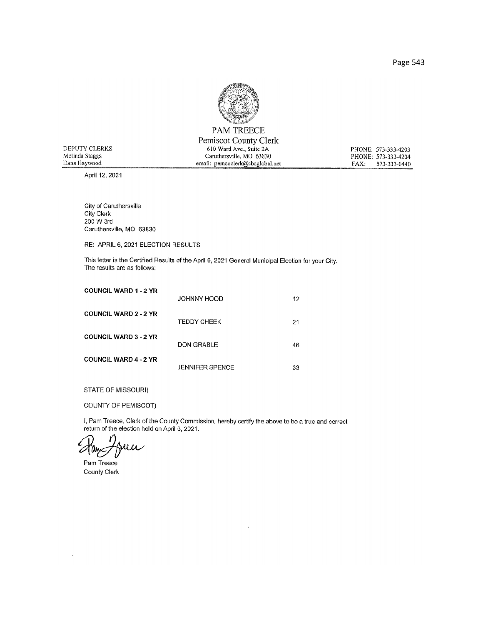

|                | <b>PAM TREECE</b>               |                      |
|----------------|---------------------------------|----------------------|
|                | Pemiscot County Clerk           |                      |
| DEPUTY CLERKS  | 610 Ward Ave., Suite 2A         | PHONE: 573-333-4203  |
| Melinda Staggs | Caruthersville, MO 63830        | PHONE: 573-333-4204  |
| Dana Haywood   | email: pemcoclerk@sbcglobal.net | 573-333-0440<br>FAX: |
|                |                                 |                      |

April 12, 2021

City of Caruthersville City Clerk<br>200 W 3rd Caruthersville, MO 63830

RE: APRIL 6, 2021 ELECTION RESULTS

This letter is the Certified Results of the April 6, 2021 General Municipal Election for your City. The results are as follows:

| <b>COUNCIL WARD 1 - 2 YR</b> | JOHNNY HOOD            | 12 |
|------------------------------|------------------------|----|
| <b>COUNCIL WARD 2 - 2 YR</b> | <b>TEDDY CHEEK</b>     | 21 |
| <b>COUNCIL WARD 3 - 2 YR</b> | DON GRABLE             | 46 |
| <b>COUNCIL WARD 4 - 2 YR</b> | <b>JENNIFER SPENCE</b> | 33 |

STATE OF MISSOURI)

COUNTY OF PEMISCOT)

I, Pam Treece, Clerk of the County Commission, hereby certify the above to be a true and correct return of the election held on April 6, 2021.

7ay

Pam Treece County Clerk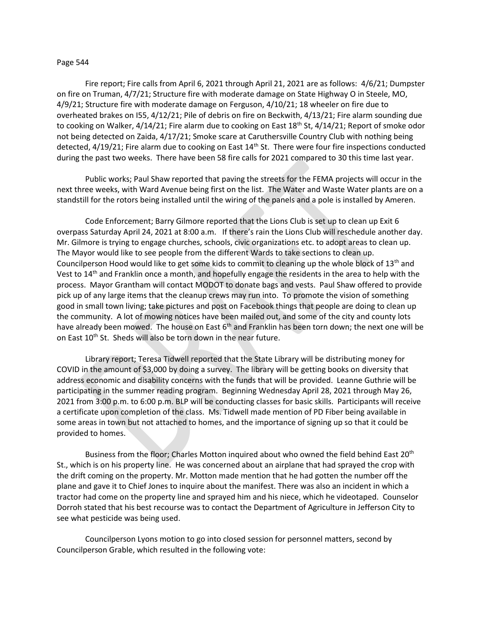## Page 544

Fire report; Fire calls from April 6, 2021 through April 21, 2021 are as follows: 4/6/21; Dumpster on fire on Truman, 4/7/21; Structure fire with moderate damage on State Highway O in Steele, MO, 4/9/21; Structure fire with moderate damage on Ferguson, 4/10/21; 18 wheeler on fire due to overheated brakes on I55, 4/12/21; Pile of debris on fire on Beckwith, 4/13/21; Fire alarm sounding due to cooking on Walker, 4/14/21; Fire alarm due to cooking on East 18<sup>th</sup> St, 4/14/21; Report of smoke odor not being detected on Zaida, 4/17/21; Smoke scare at Caruthersville Country Club with nothing being detected, 4/19/21; Fire alarm due to cooking on East 14<sup>th</sup> St. There were four fire inspections conducted during the past two weeks. There have been 58 fire calls for 2021 compared to 30 this time last year.

Public works; Paul Shaw reported that paving the streets for the FEMA projects will occur in the next three weeks, with Ward Avenue being first on the list. The Water and Waste Water plants are on a standstill for the rotors being installed until the wiring of the panels and a pole is installed by Ameren.

Code Enforcement; Barry Gilmore reported that the Lions Club is set up to clean up Exit 6 overpass Saturday April 24, 2021 at 8:00 a.m. If there's rain the Lions Club will reschedule another day. Mr. Gilmore is trying to engage churches, schools, civic organizations etc. to adopt areas to clean up. The Mayor would like to see people from the different Wards to take sections to clean up. Councilperson Hood would like to get some kids to commit to cleaning up the whole block of 13<sup>th</sup> and Vest to 14th and Franklin once a month, and hopefully engage the residents in the area to help with the process. Mayor Grantham will contact MODOT to donate bags and vests. Paul Shaw offered to provide pick up of any large items that the cleanup crews may run into. To promote the vision of something good in small town living; take pictures and post on Facebook things that people are doing to clean up the community. A lot of mowing notices have been mailed out, and some of the city and county lots have already been mowed. The house on East  $6<sup>th</sup>$  and Franklin has been torn down; the next one will be on East 10<sup>th</sup> St. Sheds will also be torn down in the near future.

Library report; Teresa Tidwell reported that the State Library will be distributing money for COVID in the amount of \$3,000 by doing a survey. The library will be getting books on diversity that address economic and disability concerns with the funds that will be provided. Leanne Guthrie will be participating in the summer reading program. Beginning Wednesday April 28, 2021 through May 26, 2021 from 3:00 p.m. to 6:00 p.m. BLP will be conducting classes for basic skills. Participants will receive a certificate upon completion of the class. Ms. Tidwell made mention of PD Fiber being available in some areas in town but not attached to homes, and the importance of signing up so that it could be provided to homes.

Business from the floor; Charles Motton inquired about who owned the field behind East 20<sup>th</sup> St., which is on his property line. He was concerned about an airplane that had sprayed the crop with the drift coming on the property. Mr. Motton made mention that he had gotten the number off the plane and gave it to Chief Jones to inquire about the manifest. There was also an incident in which a tractor had come on the property line and sprayed him and his niece, which he videotaped. Counselor Dorroh stated that his best recourse was to contact the Department of Agriculture in Jefferson City to see what pesticide was being used.

Councilperson Lyons motion to go into closed session for personnel matters, second by Councilperson Grable, which resulted in the following vote: